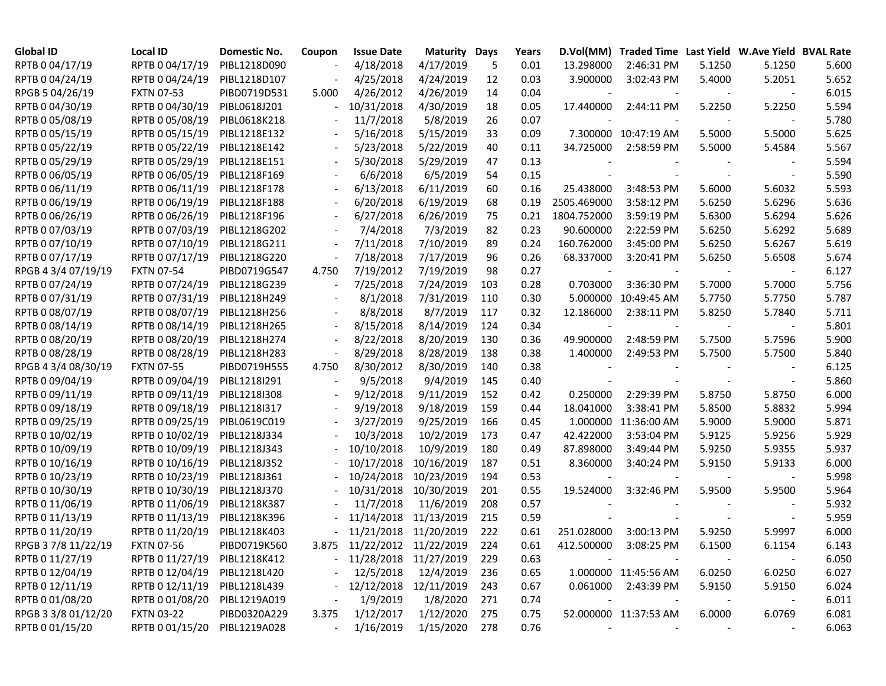| <b>Global ID</b>    | Local ID                     | Domestic No. | Coupon | <b>Issue Date</b>           | <b>Maturity Days</b>  |     | Years |                          | D.Vol(MM) Traded Time Last Yield W.Ave Yield BVAL Rate |        |                          |       |
|---------------------|------------------------------|--------------|--------|-----------------------------|-----------------------|-----|-------|--------------------------|--------------------------------------------------------|--------|--------------------------|-------|
| RPTB 0 04/17/19     | RPTB 0 04/17/19              | PIBL1218D090 |        | 4/18/2018                   | 4/17/2019             | 5   | 0.01  | 13.298000                | 2:46:31 PM                                             | 5.1250 | 5.1250                   | 5.600 |
| RPTB 0 04/24/19     | RPTB 0 04/24/19              | PIBL1218D107 |        | 4/25/2018                   | 4/24/2019             | 12  | 0.03  | 3.900000                 | 3:02:43 PM                                             | 5.4000 | 5.2051                   | 5.652 |
| RPGB 5 04/26/19     | <b>FXTN 07-53</b>            | PIBD0719D531 | 5.000  | 4/26/2012                   | 4/26/2019             | 14  | 0.04  |                          |                                                        |        |                          | 6.015 |
| RPTB 0 04/30/19     | RPTB 0 04/30/19              | PIBL0618J201 |        | 10/31/2018                  | 4/30/2019             | 18  | 0.05  | 17.440000                | 2:44:11 PM                                             | 5.2250 | 5.2250                   | 5.594 |
| RPTB 0 05/08/19     | RPTB 0 05/08/19              | PIBL0618K218 |        | 11/7/2018                   | 5/8/2019              | 26  | 0.07  |                          |                                                        |        |                          | 5.780 |
| RPTB 0 05/15/19     | RPTB 0 05/15/19              | PIBL1218E132 |        | 5/16/2018                   | 5/15/2019             | 33  | 0.09  |                          | 7.300000 10:47:19 AM                                   | 5.5000 | 5.5000                   | 5.625 |
| RPTB 0 05/22/19     | RPTB 0 05/22/19              | PIBL1218E142 |        | 5/23/2018                   | 5/22/2019             | 40  | 0.11  | 34.725000                | 2:58:59 PM                                             | 5.5000 | 5.4584                   | 5.567 |
| RPTB 0 05/29/19     | RPTB 0 05/29/19              | PIBL1218E151 |        | 5/30/2018                   | 5/29/2019             | 47  | 0.13  |                          |                                                        |        |                          | 5.594 |
| RPTB 0 06/05/19     | RPTB 0 06/05/19              | PIBL1218F169 |        | 6/6/2018                    | 6/5/2019              | 54  | 0.15  |                          |                                                        |        | $\overline{\phantom{a}}$ | 5.590 |
| RPTB 0 06/11/19     | RPTB 0 06/11/19              | PIBL1218F178 |        | 6/13/2018                   | 6/11/2019             | 60  | 0.16  | 25.438000                | 3:48:53 PM                                             | 5.6000 | 5.6032                   | 5.593 |
| RPTB 0 06/19/19     | RPTB 0 06/19/19              | PIBL1218F188 |        | 6/20/2018                   | 6/19/2019             | 68  | 0.19  | 2505.469000              | 3:58:12 PM                                             | 5.6250 | 5.6296                   | 5.636 |
| RPTB 0 06/26/19     | RPTB 0 06/26/19              | PIBL1218F196 |        | 6/27/2018                   | 6/26/2019             | 75  | 0.21  | 1804.752000              | 3:59:19 PM                                             | 5.6300 | 5.6294                   | 5.626 |
| RPTB 0 07/03/19     | RPTB 0 07/03/19              | PIBL1218G202 |        | 7/4/2018                    | 7/3/2019              | 82  | 0.23  | 90.600000                | 2:22:59 PM                                             | 5.6250 | 5.6292                   | 5.689 |
| RPTB 0 07/10/19     | RPTB 0 07/10/19              | PIBL1218G211 |        | 7/11/2018                   | 7/10/2019             | 89  | 0.24  | 160.762000               | 3:45:00 PM                                             | 5.6250 | 5.6267                   | 5.619 |
| RPTB 0 07/17/19     | RPTB 0 07/17/19              | PIBL1218G220 |        | 7/18/2018                   | 7/17/2019             | 96  | 0.26  | 68.337000                | 3:20:41 PM                                             | 5.6250 | 5.6508                   | 5.674 |
| RPGB 4 3/4 07/19/19 | <b>FXTN 07-54</b>            | PIBD0719G547 | 4.750  | 7/19/2012                   | 7/19/2019             | 98  | 0.27  | $\overline{\phantom{a}}$ |                                                        |        |                          | 6.127 |
| RPTB 0 07/24/19     | RPTB 0 07/24/19              | PIBL1218G239 |        | 7/25/2018                   | 7/24/2019             | 103 | 0.28  | 0.703000                 | 3:36:30 PM                                             | 5.7000 | 5.7000                   | 5.756 |
| RPTB 0 07/31/19     | RPTB 0 07/31/19              | PIBL1218H249 |        | 8/1/2018                    | 7/31/2019             | 110 | 0.30  |                          | 5.000000 10:49:45 AM                                   | 5.7750 | 5.7750                   | 5.787 |
| RPTB 0 08/07/19     | RPTB 0 08/07/19              | PIBL1218H256 |        | 8/8/2018                    | 8/7/2019              | 117 | 0.32  | 12.186000                | 2:38:11 PM                                             | 5.8250 | 5.7840                   | 5.711 |
| RPTB 0 08/14/19     | RPTB 0 08/14/19              | PIBL1218H265 |        | 8/15/2018                   | 8/14/2019             | 124 | 0.34  | $\overline{\phantom{a}}$ |                                                        |        |                          | 5.801 |
| RPTB 0 08/20/19     | RPTB 0 08/20/19              | PIBL1218H274 |        | 8/22/2018                   | 8/20/2019             | 130 | 0.36  | 49.900000                | 2:48:59 PM                                             | 5.7500 | 5.7596                   | 5.900 |
| RPTB 0 08/28/19     | RPTB 0 08/28/19              | PIBL1218H283 |        | 8/29/2018                   | 8/28/2019             | 138 | 0.38  | 1.400000                 | 2:49:53 PM                                             | 5.7500 | 5.7500                   | 5.840 |
| RPGB 4 3/4 08/30/19 | <b>FXTN 07-55</b>            | PIBD0719H555 | 4.750  | 8/30/2012                   | 8/30/2019             | 140 | 0.38  |                          |                                                        |        |                          | 6.125 |
| RPTB 0 09/04/19     | RPTB 0 09/04/19              | PIBL1218I291 |        | 9/5/2018                    | 9/4/2019              | 145 | 0.40  |                          |                                                        |        |                          | 5.860 |
| RPTB 0 09/11/19     | RPTB 0 09/11/19              | PIBL1218I308 |        | 9/12/2018                   | 9/11/2019             | 152 | 0.42  | 0.250000                 | 2:29:39 PM                                             | 5.8750 | 5.8750                   | 6.000 |
| RPTB 0 09/18/19     | RPTB 0 09/18/19              | PIBL1218I317 |        | 9/19/2018                   | 9/18/2019             | 159 | 0.44  | 18.041000                | 3:38:41 PM                                             | 5.8500 | 5.8832                   | 5.994 |
| RPTB 0 09/25/19     | RPTB 0 09/25/19              | PIBL0619C019 |        | 3/27/2019                   | 9/25/2019             | 166 | 0.45  |                          | 1.000000 11:36:00 AM                                   | 5.9000 | 5.9000                   | 5.871 |
| RPTB 0 10/02/19     | RPTB 0 10/02/19              | PIBL1218J334 |        | 10/3/2018                   | 10/2/2019             | 173 | 0.47  | 42.422000                | 3:53:04 PM                                             | 5.9125 | 5.9256                   | 5.929 |
| RPTB 0 10/09/19     | RPTB 0 10/09/19              | PIBL1218J343 |        | 10/10/2018                  | 10/9/2019             | 180 | 0.49  | 87.898000                | 3:49:44 PM                                             | 5.9250 | 5.9355                   | 5.937 |
| RPTB 0 10/16/19     | RPTB 0 10/16/19              | PIBL1218J352 |        | 10/17/2018                  | 10/16/2019            | 187 | 0.51  | 8.360000                 | 3:40:24 PM                                             | 5.9150 | 5.9133                   | 6.000 |
| RPTB 0 10/23/19     | RPTB 0 10/23/19              | PIBL1218J361 |        | 10/24/2018                  | 10/23/2019            | 194 | 0.53  |                          |                                                        |        |                          | 5.998 |
| RPTB 0 10/30/19     | RPTB 0 10/30/19              | PIBL1218J370 |        | 10/31/2018                  | 10/30/2019            | 201 | 0.55  | 19.524000                | 3:32:46 PM                                             | 5.9500 | 5.9500                   | 5.964 |
| RPTB 0 11/06/19     | RPTB 0 11/06/19              | PIBL1218K387 |        | 11/7/2018                   | 11/6/2019             | 208 | 0.57  |                          |                                                        |        |                          | 5.932 |
| RPTB 0 11/13/19     | RPTB 0 11/13/19              | PIBL1218K396 |        |                             | 11/14/2018 11/13/2019 | 215 | 0.59  |                          |                                                        |        |                          | 5.959 |
| RPTB 0 11/20/19     | RPTB 0 11/20/19              | PIBL1218K403 |        | $-11/21/2018$ $11/20/2019$  |                       | 222 | 0.61  | 251.028000               | 3:00:13 PM                                             | 5.9250 | 5.9997                   | 6.000 |
| RPGB 37/8 11/22/19  | <b>FXTN 07-56</b>            | PIBD0719K560 |        | 3.875 11/22/2012 11/22/2019 |                       | 224 | 0.61  | 412.500000               | 3:08:25 PM                                             | 6.1500 | 6.1154                   | 6.143 |
| RPTB 0 11/27/19     | RPTB 0 11/27/19              | PIBL1218K412 |        | $-11/28/2018$ $11/27/2019$  |                       | 229 | 0.63  |                          |                                                        |        |                          | 6.050 |
| RPTB 0 12/04/19     | RPTB 0 12/04/19              | PIBL1218L420 |        | 12/5/2018                   | 12/4/2019             | 236 | 0.65  |                          | 1.000000 11:45:56 AM                                   | 6.0250 | 6.0250                   | 6.027 |
| RPTB 0 12/11/19     | RPTB 0 12/11/19              | PIBL1218L439 |        | 12/12/2018                  | 12/11/2019            | 243 | 0.67  |                          | 0.061000 2:43:39 PM                                    | 5.9150 | 5.9150                   | 6.024 |
| RPTB 0 01/08/20     | RPTB 0 01/08/20              | PIBL1219A019 |        | 1/9/2019                    | 1/8/2020              | 271 | 0.74  | $\blacksquare$           |                                                        |        |                          | 6.011 |
| RPGB 3 3/8 01/12/20 | <b>FXTN 03-22</b>            | PIBD0320A229 | 3.375  | 1/12/2017                   | 1/12/2020             | 275 | 0.75  |                          | 52.000000 11:37:53 AM                                  | 6.0000 | 6.0769                   | 6.081 |
| RPTB 0 01/15/20     | RPTB 0 01/15/20 PIBL1219A028 |              |        | 1/16/2019                   | 1/15/2020             | 278 | 0.76  |                          |                                                        |        |                          | 6.063 |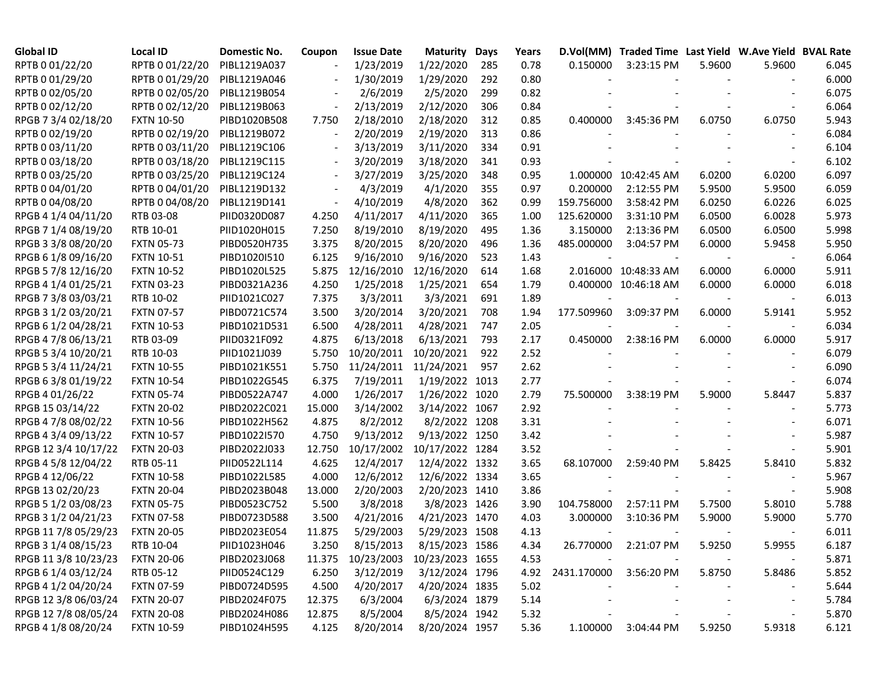| <b>Global ID</b>     | <b>Local ID</b>   | Domestic No. | Coupon                   | <b>Issue Date</b> | <b>Maturity Days</b>       |     | Years | D.Vol(MM)   | Traded Time Last Yield W.Ave Yield BVAL Rate |        |        |       |
|----------------------|-------------------|--------------|--------------------------|-------------------|----------------------------|-----|-------|-------------|----------------------------------------------|--------|--------|-------|
| RPTB 0 01/22/20      | RPTB 0 01/22/20   | PIBL1219A037 |                          | 1/23/2019         | 1/22/2020                  | 285 | 0.78  | 0.150000    | 3:23:15 PM                                   | 5.9600 | 5.9600 | 6.045 |
| RPTB 0 01/29/20      | RPTB 0 01/29/20   | PIBL1219A046 |                          | 1/30/2019         | 1/29/2020                  | 292 | 0.80  |             |                                              |        |        | 6.000 |
| RPTB 0 02/05/20      | RPTB 0 02/05/20   | PIBL1219B054 |                          | 2/6/2019          | 2/5/2020                   | 299 | 0.82  |             |                                              |        |        | 6.075 |
| RPTB 0 02/12/20      | RPTB 0 02/12/20   | PIBL1219B063 |                          | 2/13/2019         | 2/12/2020                  | 306 | 0.84  |             |                                              |        |        | 6.064 |
| RPGB 7 3/4 02/18/20  | <b>FXTN 10-50</b> | PIBD1020B508 | 7.750                    | 2/18/2010         | 2/18/2020                  | 312 | 0.85  | 0.400000    | 3:45:36 PM                                   | 6.0750 | 6.0750 | 5.943 |
| RPTB 0 02/19/20      | RPTB 0 02/19/20   | PIBL1219B072 |                          | 2/20/2019         | 2/19/2020                  | 313 | 0.86  |             |                                              |        |        | 6.084 |
| RPTB 0 03/11/20      | RPTB 0 03/11/20   | PIBL1219C106 |                          | 3/13/2019         | 3/11/2020                  | 334 | 0.91  |             |                                              |        |        | 6.104 |
| RPTB 0 03/18/20      | RPTB 0 03/18/20   | PIBL1219C115 |                          | 3/20/2019         | 3/18/2020                  | 341 | 0.93  |             |                                              |        |        | 6.102 |
| RPTB 0 03/25/20      | RPTB 0 03/25/20   | PIBL1219C124 | $\overline{\phantom{a}}$ | 3/27/2019         | 3/25/2020                  | 348 | 0.95  |             | 1.000000 10:42:45 AM                         | 6.0200 | 6.0200 | 6.097 |
| RPTB 0 04/01/20      | RPTB 0 04/01/20   | PIBL1219D132 | $\overline{\phantom{a}}$ | 4/3/2019          | 4/1/2020                   | 355 | 0.97  | 0.200000    | 2:12:55 PM                                   | 5.9500 | 5.9500 | 6.059 |
| RPTB 0 04/08/20      | RPTB 0 04/08/20   | PIBL1219D141 |                          | 4/10/2019         | 4/8/2020                   | 362 | 0.99  | 159.756000  | 3:58:42 PM                                   | 6.0250 | 6.0226 | 6.025 |
| RPGB 4 1/4 04/11/20  | RTB 03-08         | PIID0320D087 | 4.250                    | 4/11/2017         | 4/11/2020                  | 365 | 1.00  | 125.620000  | 3:31:10 PM                                   | 6.0500 | 6.0028 | 5.973 |
| RPGB 7 1/4 08/19/20  | RTB 10-01         | PIID1020H015 | 7.250                    | 8/19/2010         | 8/19/2020                  | 495 | 1.36  | 3.150000    | 2:13:36 PM                                   | 6.0500 | 6.0500 | 5.998 |
| RPGB 3 3/8 08/20/20  | <b>FXTN 05-73</b> | PIBD0520H735 | 3.375                    | 8/20/2015         | 8/20/2020                  | 496 | 1.36  | 485.000000  | 3:04:57 PM                                   | 6.0000 | 5.9458 | 5.950 |
| RPGB 6 1/8 09/16/20  | <b>FXTN 10-51</b> | PIBD1020I510 | 6.125                    | 9/16/2010         | 9/16/2020                  | 523 | 1.43  |             |                                              |        |        | 6.064 |
| RPGB 5 7/8 12/16/20  | <b>FXTN 10-52</b> | PIBD1020L525 | 5.875                    | 12/16/2010        | 12/16/2020                 | 614 | 1.68  |             | 2.016000 10:48:33 AM                         | 6.0000 | 6.0000 | 5.911 |
| RPGB 4 1/4 01/25/21  | <b>FXTN 03-23</b> | PIBD0321A236 | 4.250                    | 1/25/2018         | 1/25/2021                  | 654 | 1.79  |             | 0.400000 10:46:18 AM                         | 6.0000 | 6.0000 | 6.018 |
| RPGB 7 3/8 03/03/21  | RTB 10-02         | PIID1021C027 | 7.375                    | 3/3/2011          | 3/3/2021                   | 691 | 1.89  |             |                                              |        |        | 6.013 |
| RPGB 3 1/2 03/20/21  | <b>FXTN 07-57</b> | PIBD0721C574 | 3.500                    | 3/20/2014         | 3/20/2021                  | 708 | 1.94  | 177.509960  | 3:09:37 PM                                   | 6.0000 | 5.9141 | 5.952 |
| RPGB 6 1/2 04/28/21  | <b>FXTN 10-53</b> | PIBD1021D531 | 6.500                    | 4/28/2011         | 4/28/2021                  | 747 | 2.05  |             |                                              |        |        | 6.034 |
| RPGB 4 7/8 06/13/21  | RTB 03-09         | PIID0321F092 | 4.875                    | 6/13/2018         | 6/13/2021                  | 793 | 2.17  | 0.450000    | 2:38:16 PM                                   | 6.0000 | 6.0000 | 5.917 |
| RPGB 5 3/4 10/20/21  | RTB 10-03         | PIID1021J039 | 5.750                    | 10/20/2011        | 10/20/2021                 | 922 | 2.52  |             |                                              |        |        | 6.079 |
| RPGB 5 3/4 11/24/21  | <b>FXTN 10-55</b> | PIBD1021K551 | 5.750                    | 11/24/2011        | 11/24/2021                 | 957 | 2.62  |             |                                              |        |        | 6.090 |
| RPGB 63/8 01/19/22   | <b>FXTN 10-54</b> | PIBD1022G545 | 6.375                    | 7/19/2011         | 1/19/2022 1013             |     | 2.77  |             |                                              |        |        | 6.074 |
| RPGB 4 01/26/22      | <b>FXTN 05-74</b> | PIBD0522A747 | 4.000                    | 1/26/2017         | 1/26/2022 1020             |     | 2.79  | 75.500000   | 3:38:19 PM                                   | 5.9000 | 5.8447 | 5.837 |
| RPGB 15 03/14/22     | <b>FXTN 20-02</b> | PIBD2022C021 | 15.000                   | 3/14/2002         | 3/14/2022 1067             |     | 2.92  |             |                                              |        |        | 5.773 |
| RPGB 4 7/8 08/02/22  | <b>FXTN 10-56</b> | PIBD1022H562 | 4.875                    | 8/2/2012          | 8/2/2022 1208              |     | 3.31  |             |                                              |        |        | 6.071 |
| RPGB 4 3/4 09/13/22  | <b>FXTN 10-57</b> | PIBD1022I570 | 4.750                    | 9/13/2012         | 9/13/2022 1250             |     | 3.42  |             |                                              |        |        | 5.987 |
| RPGB 12 3/4 10/17/22 | <b>FXTN 20-03</b> | PIBD2022J033 | 12.750                   | 10/17/2002        | 10/17/2022 1284            |     | 3.52  |             |                                              |        |        | 5.901 |
| RPGB 4 5/8 12/04/22  | RTB 05-11         | PIID0522L114 | 4.625                    | 12/4/2017         | 12/4/2022 1332             |     | 3.65  | 68.107000   | 2:59:40 PM                                   | 5.8425 | 5.8410 | 5.832 |
| RPGB 4 12/06/22      | <b>FXTN 10-58</b> | PIBD1022L585 | 4.000                    | 12/6/2012         | 12/6/2022 1334             |     | 3.65  |             |                                              |        |        | 5.967 |
| RPGB 13 02/20/23     | <b>FXTN 20-04</b> | PIBD2023B048 | 13.000                   | 2/20/2003         | 2/20/2023 1410             |     | 3.86  |             |                                              |        |        | 5.908 |
| RPGB 5 1/2 03/08/23  | <b>FXTN 05-75</b> | PIBD0523C752 | 5.500                    | 3/8/2018          | 3/8/2023 1426              |     | 3.90  | 104.758000  | 2:57:11 PM                                   | 5.7500 | 5.8010 | 5.788 |
| RPGB 3 1/2 04/21/23  | <b>FXTN 07-58</b> | PIBD0723D588 | 3.500                    | 4/21/2016         | 4/21/2023 1470             |     | 4.03  | 3.000000    | 3:10:36 PM                                   | 5.9000 | 5.9000 | 5.770 |
| RPGB 11 7/8 05/29/23 | <b>FXTN 20-05</b> | PIBD2023E054 | 11.875                   | 5/29/2003         | 5/29/2023 1508             |     | 4.13  |             |                                              |        |        | 6.011 |
| RPGB 3 1/4 08/15/23  | RTB 10-04         | PIID1023H046 | 3.250                    | 8/15/2013         | 8/15/2023 1586             |     | 4.34  |             | 26.770000 2:21:07 PM                         | 5.9250 | 5.9955 | 6.187 |
| RPGB 11 3/8 10/23/23 | <b>FXTN 20-06</b> | PIBD2023J068 | 11.375                   |                   | 10/23/2003 10/23/2023 1655 |     | 4.53  |             |                                              |        |        | 5.871 |
| RPGB 6 1/4 03/12/24  | RTB 05-12         | PIID0524C129 | 6.250                    | 3/12/2019         | 3/12/2024 1796             |     | 4.92  | 2431.170000 | 3:56:20 PM                                   | 5.8750 | 5.8486 | 5.852 |
| RPGB 4 1/2 04/20/24  | <b>FXTN 07-59</b> | PIBD0724D595 | 4.500                    | 4/20/2017         | 4/20/2024 1835             |     | 5.02  |             |                                              |        |        | 5.644 |
| RPGB 12 3/8 06/03/24 | <b>FXTN 20-07</b> | PIBD2024F075 | 12.375                   | 6/3/2004          | 6/3/2024 1879              |     | 5.14  |             |                                              |        |        | 5.784 |
| RPGB 12 7/8 08/05/24 | <b>FXTN 20-08</b> | PIBD2024H086 | 12.875                   | 8/5/2004          | 8/5/2024 1942              |     | 5.32  |             |                                              |        |        | 5.870 |
| RPGB 4 1/8 08/20/24  | <b>FXTN 10-59</b> | PIBD1024H595 | 4.125                    | 8/20/2014         | 8/20/2024 1957             |     | 5.36  | 1.100000    | 3:04:44 PM                                   | 5.9250 | 5.9318 | 6.121 |
|                      |                   |              |                          |                   |                            |     |       |             |                                              |        |        |       |